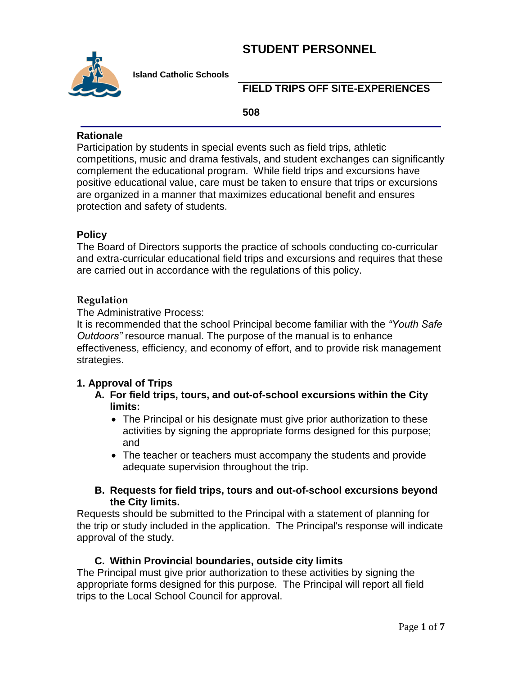

 **Island Catholic Schools**

### **FIELD TRIPS OFF SITE-EXPERIENCES**

**508**

### **Rationale**

Participation by students in special events such as field trips, athletic competitions, music and drama festivals, and student exchanges can significantly complement the educational program. While field trips and excursions have positive educational value, care must be taken to ensure that trips or excursions are organized in a manner that maximizes educational benefit and ensures protection and safety of students.

### **Policy**

The Board of Directors supports the practice of schools conducting co-curricular and extra-curricular educational field trips and excursions and requires that these are carried out in accordance with the regulations of this policy.

### **Regulation**

The Administrative Process:

It is recommended that the school Principal become familiar with the *"Youth Safe Outdoors"* resource manual. The purpose of the manual is to enhance effectiveness, efficiency, and economy of effort, and to provide risk management strategies.

### **1. Approval of Trips**

- **A. For field trips, tours, and out-of-school excursions within the City limits:**
	- The Principal or his designate must give prior authorization to these activities by signing the appropriate forms designed for this purpose; and
	- The teacher or teachers must accompany the students and provide adequate supervision throughout the trip.
- **B. Requests for field trips, tours and out-of-school excursions beyond the City limits.**

Requests should be submitted to the Principal with a statement of planning for the trip or study included in the application. The Principal's response will indicate approval of the study.

### **C. Within Provincial boundaries, outside city limits**

The Principal must give prior authorization to these activities by signing the appropriate forms designed for this purpose. The Principal will report all field trips to the Local School Council for approval.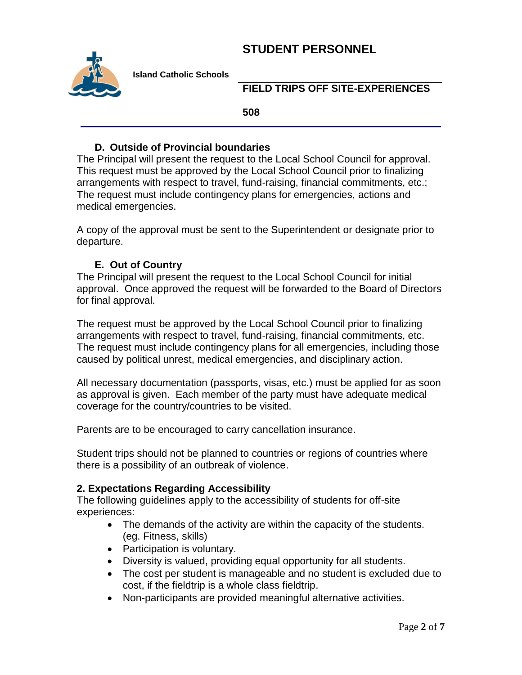

 **Island Catholic Schools**

## **FIELD TRIPS OFF SITE-EXPERIENCES**

#### **508**

### **D. Outside of Provincial boundaries**

The Principal will present the request to the Local School Council for approval. This request must be approved by the Local School Council prior to finalizing arrangements with respect to travel, fund-raising, financial commitments, etc.; The request must include contingency plans for emergencies, actions and medical emergencies.

A copy of the approval must be sent to the Superintendent or designate prior to departure.

### **E. Out of Country**

The Principal will present the request to the Local School Council for initial approval. Once approved the request will be forwarded to the Board of Directors for final approval.

The request must be approved by the Local School Council prior to finalizing arrangements with respect to travel, fund-raising, financial commitments, etc. The request must include contingency plans for all emergencies, including those caused by political unrest, medical emergencies, and disciplinary action.

All necessary documentation (passports, visas, etc.) must be applied for as soon as approval is given. Each member of the party must have adequate medical coverage for the country/countries to be visited.

Parents are to be encouraged to carry cancellation insurance.

Student trips should not be planned to countries or regions of countries where there is a possibility of an outbreak of violence.

#### **2. Expectations Regarding Accessibility**

The following guidelines apply to the accessibility of students for off-site experiences:

- The demands of the activity are within the capacity of the students. (eg. Fitness, skills)
- Participation is voluntary.
- Diversity is valued, providing equal opportunity for all students.
- The cost per student is manageable and no student is excluded due to cost, if the fieldtrip is a whole class fieldtrip.
- Non-participants are provided meaningful alternative activities.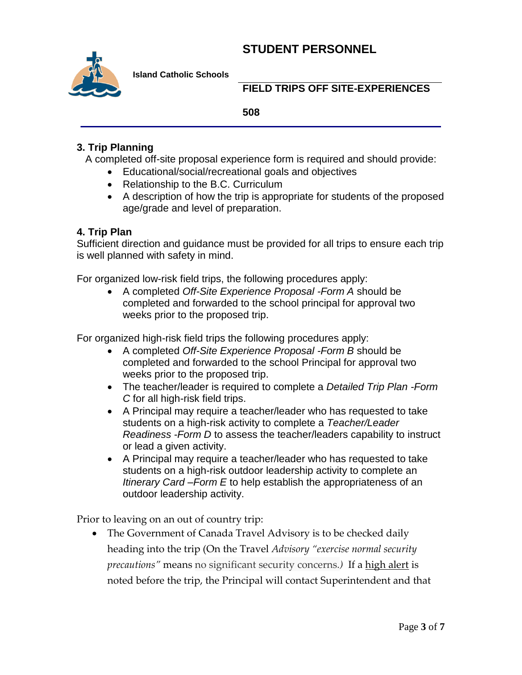

 **Island Catholic Schools**

### **FIELD TRIPS OFF SITE-EXPERIENCES**

#### **508**

### **3. Trip Planning**

A completed off-site proposal experience form is required and should provide:

- Educational/social/recreational goals and objectives
- Relationship to the B.C. Curriculum
- A description of how the trip is appropriate for students of the proposed age/grade and level of preparation.

### **4. Trip Plan**

Sufficient direction and guidance must be provided for all trips to ensure each trip is well planned with safety in mind.

For organized low-risk field trips, the following procedures apply:

 A completed *Off-Site Experience Proposal -Form A* should be completed and forwarded to the school principal for approval two weeks prior to the proposed trip.

For organized high-risk field trips the following procedures apply:

- A completed *Off-Site Experience Proposal -Form B* should be completed and forwarded to the school Principal for approval two weeks prior to the proposed trip.
- The teacher/leader is required to complete a *Detailed Trip Plan -Form C* for all high-risk field trips.
- A Principal may require a teacher/leader who has requested to take students on a high-risk activity to complete a *Teacher/Leader Readiness -Form D* to assess the teacher/leaders capability to instruct or lead a given activity.
- A Principal may require a teacher/leader who has requested to take students on a high-risk outdoor leadership activity to complete an *Itinerary Card –Form E* to help establish the appropriateness of an outdoor leadership activity.

Prior to leaving on an out of country trip:

• The Government of Canada Travel Advisory is to be checked daily heading into the trip (On the Travel *Advisory "exercise normal security precautions"* means no significant security concerns.*)* If a high alert is noted before the trip, the Principal will contact Superintendent and that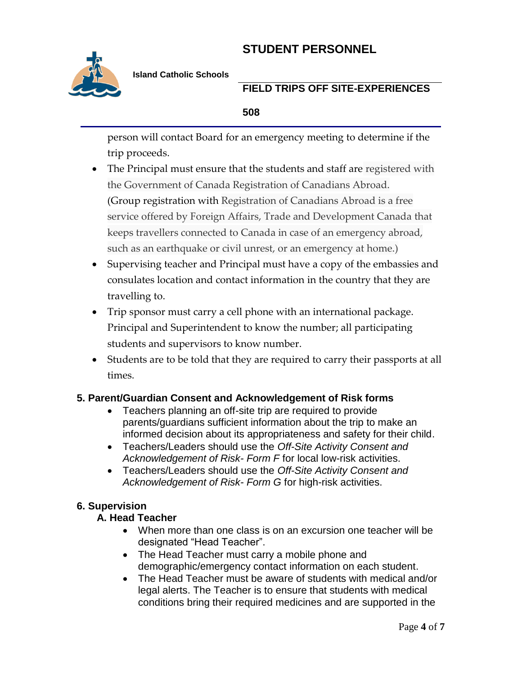

 **Island Catholic Schools**

## **FIELD TRIPS OFF SITE-EXPERIENCES**

#### **508**

person will contact Board for an emergency meeting to determine if the trip proceeds.

- The Principal must ensure that the students and staff are registered with the Government of Canada Registration of Canadians Abroad. (Group registration with Registration of Canadians Abroad is a free service offered by Foreign Affairs, Trade and Development Canada that keeps travellers connected to Canada in case of an emergency abroad, such as an earthquake or civil unrest, or an emergency at home.)
- Supervising teacher and Principal must have a copy of the embassies and consulates location and contact information in the country that they are travelling to.
- Trip sponsor must carry a cell phone with an international package. Principal and Superintendent to know the number; all participating students and supervisors to know number.
- Students are to be told that they are required to carry their passports at all times.

### **5. Parent/Guardian Consent and Acknowledgement of Risk forms**

- Teachers planning an off-site trip are required to provide parents/guardians sufficient information about the trip to make an informed decision about its appropriateness and safety for their child.
- Teachers/Leaders should use the *Off-Site Activity Consent and Acknowledgement of Risk- Form F* for local low-risk activities.
- Teachers/Leaders should use the *Off-Site Activity Consent and Acknowledgement of Risk- Form G* for high-risk activities.

## **6. Supervision**

### **A. Head Teacher**

- When more than one class is on an excursion one teacher will be designated "Head Teacher".
- The Head Teacher must carry a mobile phone and demographic/emergency contact information on each student.
- The Head Teacher must be aware of students with medical and/or legal alerts. The Teacher is to ensure that students with medical conditions bring their required medicines and are supported in the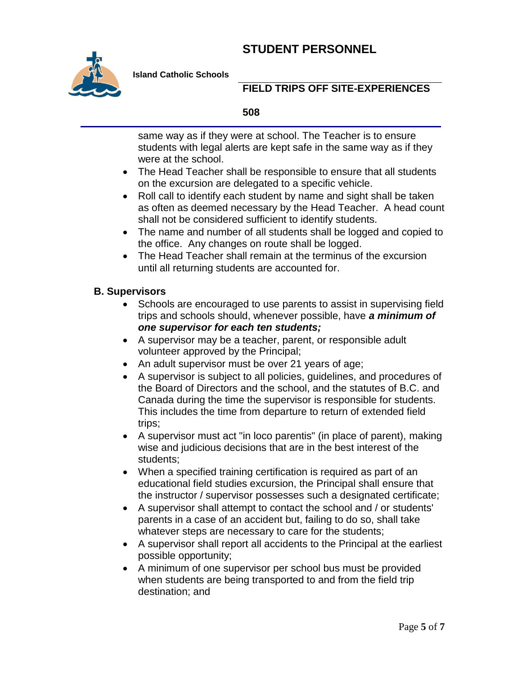

 **Island Catholic Schools**

## **FIELD TRIPS OFF SITE-EXPERIENCES**

#### **508**

same way as if they were at school. The Teacher is to ensure students with legal alerts are kept safe in the same way as if they were at the school.

- The Head Teacher shall be responsible to ensure that all students on the excursion are delegated to a specific vehicle.
- Roll call to identify each student by name and sight shall be taken as often as deemed necessary by the Head Teacher. A head count shall not be considered sufficient to identify students.
- The name and number of all students shall be logged and copied to the office. Any changes on route shall be logged.
- The Head Teacher shall remain at the terminus of the excursion until all returning students are accounted for.

### **B. Supervisors**

- Schools are encouraged to use parents to assist in supervising field trips and schools should, whenever possible, have *a minimum of one supervisor for each ten students;*
- A supervisor may be a teacher, parent, or responsible adult volunteer approved by the Principal;
- An adult supervisor must be over 21 years of age;
- A supervisor is subject to all policies, guidelines, and procedures of the Board of Directors and the school, and the statutes of B.C. and Canada during the time the supervisor is responsible for students. This includes the time from departure to return of extended field trips;
- A supervisor must act "in loco parentis" (in place of parent), making wise and judicious decisions that are in the best interest of the students;
- When a specified training certification is required as part of an educational field studies excursion, the Principal shall ensure that the instructor / supervisor possesses such a designated certificate;
- A supervisor shall attempt to contact the school and / or students' parents in a case of an accident but, failing to do so, shall take whatever steps are necessary to care for the students;
- A supervisor shall report all accidents to the Principal at the earliest possible opportunity;
- A minimum of one supervisor per school bus must be provided when students are being transported to and from the field trip destination; and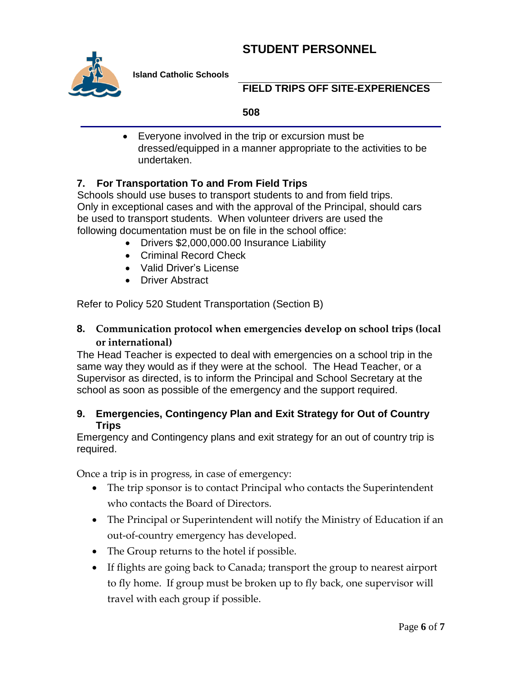

 **Island Catholic Schools**

## **FIELD TRIPS OFF SITE-EXPERIENCES**

#### **508**

 Everyone involved in the trip or excursion must be dressed/equipped in a manner appropriate to the activities to be undertaken.

### **7. For Transportation To and From Field Trips**

Schools should use buses to transport students to and from field trips. Only in exceptional cases and with the approval of the Principal, should cars be used to transport students. When volunteer drivers are used the following documentation must be on file in the school office:

- Drivers \$2,000,000.00 Insurance Liability
- Criminal Record Check
- Valid Driver's License
- Driver Abstract

Refer to Policy 520 Student Transportation (Section B)

**8. Communication protocol when emergencies develop on school trips (local or international)**

The Head Teacher is expected to deal with emergencies on a school trip in the same way they would as if they were at the school. The Head Teacher, or a Supervisor as directed, is to inform the Principal and School Secretary at the school as soon as possible of the emergency and the support required.

### **9. Emergencies, Contingency Plan and Exit Strategy for Out of Country Trips**

Emergency and Contingency plans and exit strategy for an out of country trip is required.

Once a trip is in progress, in case of emergency:

- The trip sponsor is to contact Principal who contacts the Superintendent who contacts the Board of Directors.
- The Principal or Superintendent will notify the Ministry of Education if an out-of-country emergency has developed.
- The Group returns to the hotel if possible.
- If flights are going back to Canada; transport the group to nearest airport to fly home. If group must be broken up to fly back, one supervisor will travel with each group if possible.